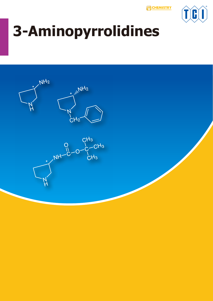**CHEMISTRY** 



# **3-Aminopyrrolidines**

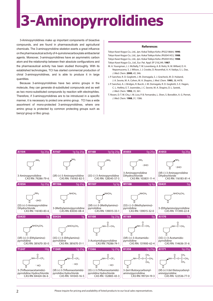## **3-Aminopyrrolidines**

3-Aminopyrrolidines make up important components of bioactive compounds, and are found in pharmaceuticals and agricultural chemicals. The 3-aminopyrrolidine skeleton exerts a great influence on the pharmaceutical activity of 4-quinolonecarboxylate antibacterial agents. Moreover, 3-aminopyrrolidines have an asymmetric carbon atom and the relationship between their absolute configurations and the pharmaceutical activity has been studied thoroughly. With its established technologies, TCI has started commercial production of chiral 3-aminopyrrolidines, and is able to produce it in large quantities.

Because 3-aminopyrrolidines have two amino groups in the molecule, they can generate di-substituted compounds and as well as two mono-substituted compounds by reaction with electrophiles. Therefore, if 3-aminopyrrolidines are to be introduced in a specific manner, it is necessary to protect one amino group. TCI has a wide assortment of mono-protected 3-aminopyrrolidines, where one amino group is protected by common protecting groups such as benzyl group or Boc group.

#### **References**

Tokyo Kasei Kogyo Co., Ltd., Jpn. Kokai Tokkyo Koho JP02218664, **1990**. Tokyo Kasei Kogyo Co., Ltd., Jpn. Kokai Tokkyo Koho JP63041453, **1988**. Tokyo Kasei Kogyo Co., Ltd., Jpn. Kokai Tokkyo Koho JP63041452, **1988**. Tokyo Kasei Kogyo Co., Ltd., Eur. Pat. Appl. EP 218,249, **1987**.

- M. A. Youngman, J. J. McNally, T. W. Lovenberg, A. B. Reitz, N. M. Willard, D. H. Nepomuceno, S. J. Wilson, J. J. Crooke, D. Rosenthal, A. H. Vaidya, S. L. Dax, *J. Med. Chem.* **2000**, *43*, 346.
- J. P. Sanchez, R. D. Gogliotti, J. M. Domagala, S. J. Gracheck, M. D. Huband, J. A. Sesnie, M. A. Cohen, M. A. Shapiro, *J. Med. Chem.* **1995**, *38*, 4478.
- J. P. Sanchez, A. J. Bridges, R. Bucsh, J. M. Domagala, R. D. Gogliotti, S. E. Hagen, C. L. Heifetz, E. T. Joannides, J. C. Sesnie, M. A. Shapiro, D. L. Szotek, *J. Med. Chem.* **1992**, *35*, 361.
- T. Rosen, D. T. W. Chu, I. M. Lico, P. B. Fernandes, L. Shen, S. Borodkin, A. G. Pernet, *J. Med. Chem.* **1988**, *31*, 1586.

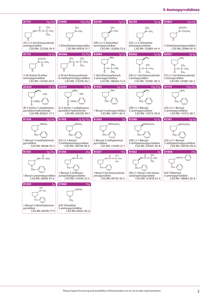### **3-Aminopyrrolidines**